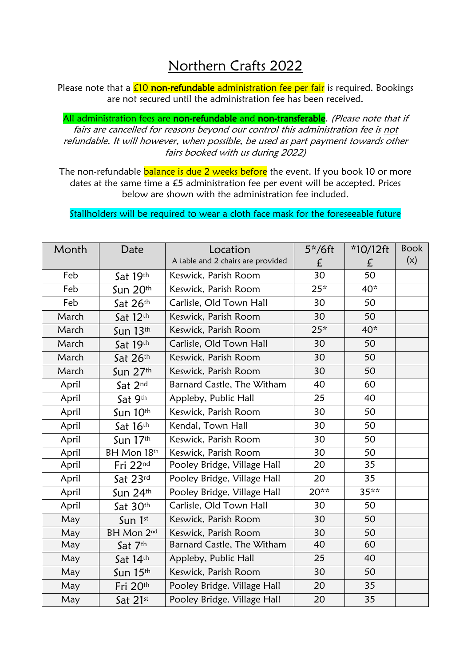## Northern Crafts 2022

Please note that a  $E10$  non-refundable administration fee per fair is required. Bookings are not secured until the administration fee has been received.

All administration fees are non-refundable and non-transferable. (Please note that if fairs are cancelled for reasons beyond our control this administration fee is not refundable. It will however, when possible, be used as part payment towards other fairs booked with us during 2022)

The non-refundable **balance is due 2 weeks before** the event. If you book 10 or more dates at the same time a £5 administration fee per event will be accepted. Prices below are shown with the administration fee included.

Stallholders will be required to wear a cloth face mask for the foreseeable future

| Month | Date        | Location                          | 5*/6ft | *10/12ft | <b>Book</b> |
|-------|-------------|-----------------------------------|--------|----------|-------------|
|       |             | A table and 2 chairs are provided | £      | £        | (x)         |
| Feb   | Sat 19th    | Keswick, Parish Room              | 30     | 50       |             |
| Feb   | Sun 20th    | Keswick, Parish Room              | $25*$  | 40*      |             |
| Feb   | Sat 26th    | Carlisle, Old Town Hall           | 30     | 50       |             |
| March | Sat 12th    | Keswick, Parish Room              | 30     | 50       |             |
| March | Sun $13th$  | Keswick, Parish Room              | $25*$  | 40*      |             |
| March | Sat 19th    | Carlisle, Old Town Hall           | 30     | 50       |             |
| March | Sat 26th    | Keswick, Parish Room              | 30     | 50       |             |
| March | Sun $27th$  | Keswick, Parish Room              | 30     | 50       |             |
| April | Sat 2nd     | Barnard Castle, The Witham        | 40     | 60       |             |
| April | Sat 9th     | Appleby, Public Hall              | 25     | 40       |             |
| April | Sun 10th    | Keswick, Parish Room              | 30     | 50       |             |
| April | Sat 16th    | Kendal, Town Hall                 | 30     | 50       |             |
| April | Sun 17th    | Keswick, Parish Room              | 30     | 50       |             |
| April | BH Mon 18th | Keswick, Parish Room              | 30     | 50       |             |
| April | Fri 22nd    | Pooley Bridge, Village Hall       | 20     | 35       |             |
| April | Sat 23rd    | Pooley Bridge, Village Hall       | 20     | 35       |             |
| April | Sun $24th$  | Pooley Bridge, Village Hall       | 20**   | $35***$  |             |
| April | Sat 30th    | Carlisle, Old Town Hall           | 30     | 50       |             |
| May   | Sun 1st     | Keswick, Parish Room              | 30     | 50       |             |
| May   | BH Mon 2nd  | Keswick, Parish Room              | 30     | 50       |             |
| May   | Sat 7th     | Barnard Castle, The Witham        | 40     | 60       |             |
| May   | Sat 14th    | Appleby, Public Hall              | 25     | 40       |             |
| May   | Sun 15th    | Keswick, Parish Room              | 30     | 50       |             |
| May   | Fri 20th    | Pooley Bridge. Village Hall       | 20     | 35       |             |
| May   | Sat 21st    | Pooley Bridge. Village Hall       | 20     | 35       |             |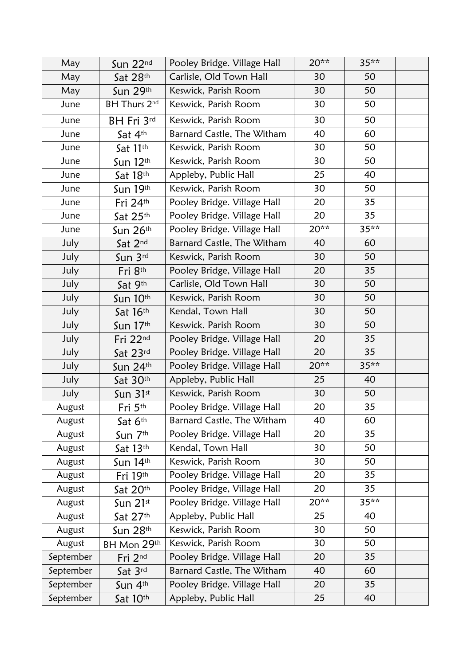| May       | Sun 22nd               | Pooley Bridge. Village Hall | 20** | 35** |  |
|-----------|------------------------|-----------------------------|------|------|--|
| May       | Sat 28th               | Carlisle, Old Town Hall     | 30   | 50   |  |
| May       | Sun 29th               | Keswick, Parish Room        | 30   | 50   |  |
| June      | BH Thurs 2nd           | Keswick, Parish Room        | 30   | 50   |  |
| June      | BH Fri 3rd             | Keswick, Parish Room        | 30   | 50   |  |
| June      | Sat 4th                | Barnard Castle, The Witham  | 40   | 60   |  |
| June      | Sat 11th               | Keswick, Parish Room        | 30   | 50   |  |
| June      | Sun $12th$             | Keswick, Parish Room        | 30   | 50   |  |
| June      | Sat 18th               | Appleby, Public Hall        | 25   | 40   |  |
| June      | Sun 19th               | Keswick, Parish Room        | 30   | 50   |  |
| June      | Fri 24th               | Pooley Bridge. Village Hall | 20   | 35   |  |
| June      | Sat 25th               | Pooley Bridge. Village Hall | 20   | 35   |  |
| June      | Sun $26th$             | Pooley Bridge. Village Hall | 20** | 35** |  |
| July      | Sat 2nd                | Barnard Castle, The Witham  | 40   | 60   |  |
| July      | Sun 3rd                | Keswick, Parish Room        | 30   | 50   |  |
| July      | Fri 8th                | Pooley Bridge, Village Hall | 20   | 35   |  |
| July      | Sat 9th                | Carlisle, Old Town Hall     | 30   | 50   |  |
| July      | Sun 10th               | Keswick, Parish Room        | 30   | 50   |  |
| July      | Sat 16th               | Kendal, Town Hall           | 30   | 50   |  |
| July      | Sun 17th               | Keswick. Parish Room        | 30   | 50   |  |
| July      | Fri 22nd               | Pooley Bridge. Village Hall | 20   | 35   |  |
| July      | Sat 23rd               | Pooley Bridge. Village Hall | 20   | 35   |  |
| July      | Sun $24th$             | Pooley Bridge. Village Hall | 20** | 35** |  |
| July      | Sat 30th               | Appleby, Public Hall        | 25   | 40   |  |
| July      | Sun $31$ <sup>st</sup> | Keswick, Parish Room        | 30   | 50   |  |
| August    | Fri 5th                | Pooley Bridge. Village Hall | 20   | 35   |  |
| August    | Sat 6th                | Barnard Castle, The Witham  | 40   | 60   |  |
| August    | Sun 7th                | Pooley Bridge. Village Hall | 20   | 35   |  |
| August    | Sat 13th               | Kendal, Town Hall           | 30   | 50   |  |
| August    | Sun $14th$             | Keswick, Parish Room        | 30   | 50   |  |
| August    | Fri 19th               | Pooley Bridge. Village Hall | 20   | 35   |  |
| August    | Sat 20th               | Pooley Bridge, Village Hall | 20   | 35   |  |
| August    | Sun $21$ <sup>st</sup> | Pooley Bridge. Village Hall | 20** | 35** |  |
| August    | Sat 27th               | Appleby, Public Hall        | 25   | 40   |  |
| August    | Sun 28th               | Keswick, Parish Room        | 30   | 50   |  |
| August    | BH Mon 29th            | Keswick, Parish Room        | 30   | 50   |  |
| September | Fri 2nd                | Pooley Bridge. Village Hall | 20   | 35   |  |
| September | Sat 3rd                | Barnard Castle, The Witham  | 40   | 60   |  |
| September | Sun 4th                | Pooley Bridge. Village Hall | 20   | 35   |  |
| September | Sat 10th               | Appleby, Public Hall        | 25   | 40   |  |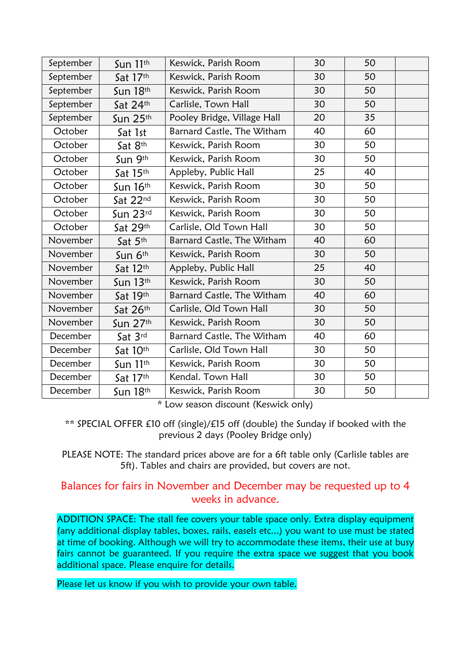| September | Sun $11th$ | Keswick, Parish Room        | 30 | 50 |  |
|-----------|------------|-----------------------------|----|----|--|
| September | Sat 17th   | Keswick, Parish Room        | 30 | 50 |  |
| September | Sun 18th   | Keswick, Parish Room        | 30 | 50 |  |
| September | Sat 24th   | Carlisle, Town Hall         | 30 | 50 |  |
| September | Sun $25th$ | Pooley Bridge, Village Hall | 20 | 35 |  |
| October   | Sat 1st    | Barnard Castle, The Witham  | 40 | 60 |  |
| October   | Sat 8th    | Keswick, Parish Room        | 30 | 50 |  |
| October   | Sun 9th    | Keswick, Parish Room        | 30 | 50 |  |
| October   | Sat 15th   | Appleby, Public Hall        | 25 | 40 |  |
| October   | Sun 16th   | Keswick, Parish Room        | 30 | 50 |  |
| October   | Sat 22nd   | Keswick, Parish Room        | 30 | 50 |  |
| October   | Sun 23rd   | Keswick, Parish Room        | 30 | 50 |  |
| October   | Sat 29th   | Carlisle, Old Town Hall     | 30 | 50 |  |
| November  | Sat 5th    | Barnard Castle, The Witham  | 40 | 60 |  |
| November  | Sun 6th    | Keswick, Parish Room        | 30 | 50 |  |
| November  | Sat $12th$ | Appleby, Public Hall        | 25 | 40 |  |
| November  | Sun $13th$ | Keswick, Parish Room        | 30 | 50 |  |
| November  | Sat 19th   | Barnard Castle, The Witham  | 40 | 60 |  |
| November  | Sat 26th   | Carlisle, Old Town Hall     | 30 | 50 |  |
| November  | Sun 27th   | Keswick, Parish Room        | 30 | 50 |  |
| December  | Sat 3rd    | Barnard Castle, The Witham  | 40 | 60 |  |
| December  | Sat 10th   | Carlisle, Old Town Hall     | 30 | 50 |  |
| December  | Sun 11th   | Keswick, Parish Room        | 30 | 50 |  |
| December  | Sat 17th   | Kendal. Town Hall           | 30 | 50 |  |
| December  | Sun $18th$ | Keswick, Parish Room        | 30 | 50 |  |

\* Low season discount (Keswick only)

\*\* SPECIAL OFFER £10 off (single)/£15 off (double) the Sunday if booked with the previous 2 days (Pooley Bridge only)

PLEASE NOTE: The standard prices above are for a 6ft table only (Carlisle tables are 5ft). Tables and chairs are provided, but covers are not.

## Balances for fairs in November and December may be requested up to 4 weeks in advance.

ADDITION SPACE: The stall fee covers your table space only. Extra display equipment (any additional display tables, boxes, rails, easels etc...) you want to use must be stated at time of booking. Although we will try to accommodate these items, their use at busy fairs cannot be guaranteed. If you require the extra space we suggest that you book additional space. Please enquire for details.

Please let us know if you wish to provide your own table.